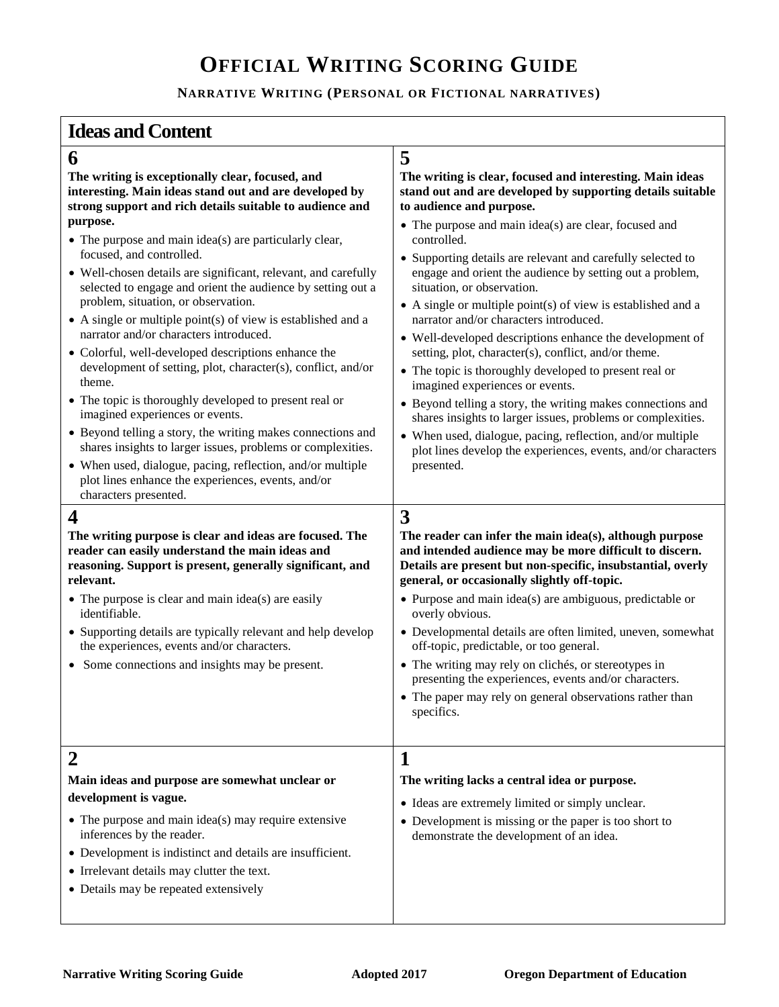# **OFFICIAL WRITING SCORING GUIDE**

### **NARRATIVE WRITING (PERSONAL OR FICTIONAL NARRATIVES)**

## **Ideas and Content**

## **6 5**

**relevant.** 

identifiable.

**The writing is exceptionally clear, focused, and interesting. Main ideas stand out and are developed by strong support and rich details suitable to audience and purpose.** 

- The purpose and main idea(s) are particularly clear, focused, and controlled.
- Well-chosen details are significant, relevant, and carefully selected to engage and orient the audience by setting out a problem, situation, or observation.
- $\bullet$  A single or multiple point(s) of view is established and a narrator and/or characters introduced.
- Colorful, well-developed descriptions enhance the development of setting, plot, character(s), conflict, and/or theme.
- The topic is thoroughly developed to present real or imagined experiences or events.
- Beyond telling a story, the writing makes connections and shares insights to larger issues, problems or complexities.
- When used, dialogue, pacing, reflection, and/or multiple plot lines enhance the experiences, events, and/or characters presented.

**The writing purpose is clear and ideas are focused. The reader can easily understand the main ideas and** 

### **The writing is clear, focused and interesting. Main ideas stand out and are developed by supporting details suitable to audience and purpose.**

- The purpose and main idea(s) are clear, focused and controlled.
- Supporting details are relevant and carefully selected to engage and orient the audience by setting out a problem, situation, or observation.
- $\bullet$  A single or multiple point(s) of view is established and a narrator and/or characters introduced.
- Well-developed descriptions enhance the development of setting, plot, character(s), conflict, and/or theme.
- The topic is thoroughly developed to present real or imagined experiences or events.
- Beyond telling a story, the writing makes connections and shares insights to larger issues, problems or complexities.
- When used, dialogue, pacing, reflection, and/or multiple plot lines develop the experiences, events, and/or characters presented.

## **4 3**

**reasoning. Support is present, generally significant, and The reader can infer the main idea(s), although purpose and intended audience may be more difficult to discern. Details are present but non-specific, insubstantial, overly general, or occasionally slightly off-topic.** 

> The writing may rely on clichés, or stereotypes in presenting the experiences, events and/or characters. • The paper may rely on general observations rather than

- Purpose and main idea(s) are ambiguous, predictable or overly obvious.
- Developmental details are often limited, uneven, somewhat off-topic, predictable, or too general.
- Some connections and insights may be present.

• Supporting details are typically relevant and help develop

• The purpose is clear and main idea(s) are easily

the experiences, events and/or characters.

### specifics. **2 1 Main ideas and purpose are somewhat unclear or development is vague.**  • The purpose and main idea(s) may require extensive inferences by the reader. Development is indistinct and details are insufficient. • Irrelevant details may clutter the text. • Details may be repeated extensively **The writing lacks a central idea or purpose.**  Ideas are extremely limited or simply unclear. • Development is missing or the paper is too short to demonstrate the development of an idea.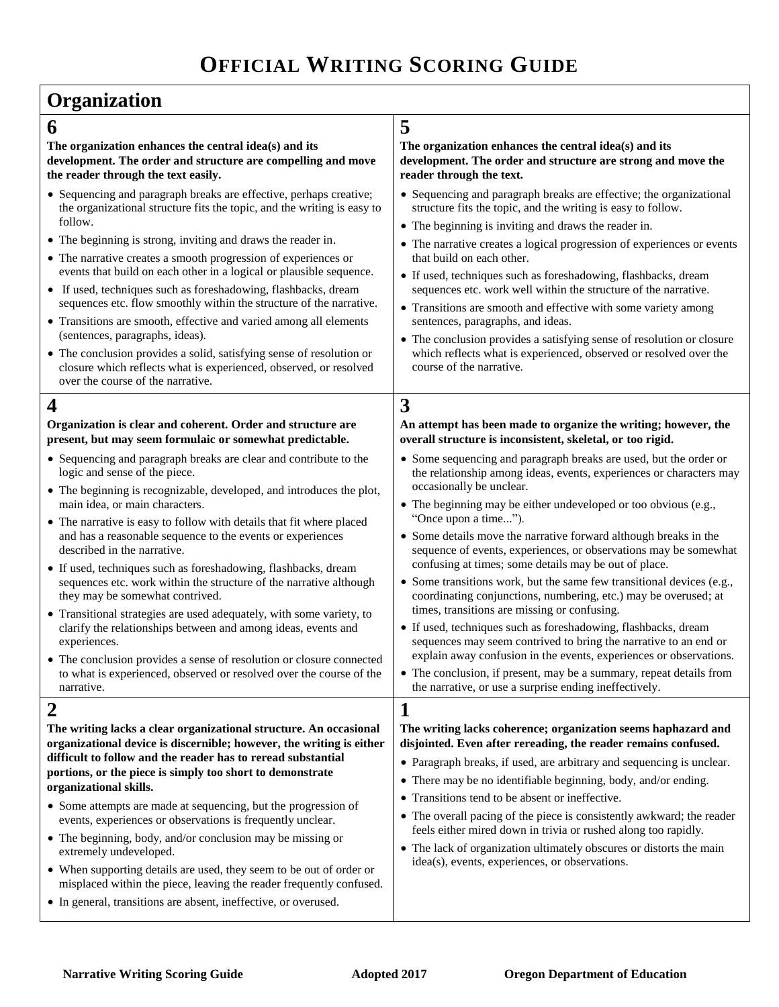## **Organization**

(sentences, paragraphs, ideas).

over the course of the narrative.

logic and sense of the piece.

described in the narrative.

experiences.

narrative.

main idea, or main characters.

they may be somewhat contrived.

follow.

**The organization enhances the central idea(s) and its development. The order and structure are compelling and move the reader through the text easily.** 

• Sequencing and paragraph breaks are effective, perhaps creative; the organizational structure fits the topic, and the writing is easy to

 The conclusion provides a solid, satisfying sense of resolution or closure which reflects what is experienced, observed, or resolved

**Organization is clear and coherent. Order and structure are present, but may seem formulaic or somewhat predictable.**  Sequencing and paragraph breaks are clear and contribute to the

The beginning is recognizable, developed, and introduces the plot,

 The narrative is easy to follow with details that fit where placed and has a reasonable sequence to the events or experiences

 If used, techniques such as foreshadowing, flashbacks, dream sequences etc. work within the structure of the narrative although

 Transitional strategies are used adequately, with some variety, to clarify the relationships between and among ideas, events and

 The conclusion provides a sense of resolution or closure connected to what is experienced, observed or resolved over the course of the

 The beginning is strong, inviting and draws the reader in. The narrative creates a smooth progression of experiences or events that build on each other in a logical or plausible sequence. If used, techniques such as foreshadowing, flashbacks, dream sequences etc. flow smoothly within the structure of the narrative. Transitions are smooth, effective and varied among all elements

## **6 5**

### **The organization enhances the central idea(s) and its development. The order and structure are strong and move the reader through the text.**

- Sequencing and paragraph breaks are effective; the organizational structure fits the topic, and the writing is easy to follow.
- The beginning is inviting and draws the reader in.
- The narrative creates a logical progression of experiences or events that build on each other.
- If used, techniques such as foreshadowing, flashbacks, dream sequences etc. work well within the structure of the narrative.
- Transitions are smooth and effective with some variety among sentences, paragraphs, and ideas.
- The conclusion provides a satisfying sense of resolution or closure which reflects what is experienced, observed or resolved over the course of the narrative.

## **4 3**

**An attempt has been made to organize the writing; however, the overall structure is inconsistent, skeletal, or too rigid.** 

- Some sequencing and paragraph breaks are used, but the order or the relationship among ideas, events, experiences or characters may occasionally be unclear.
- The beginning may be either undeveloped or too obvious (e.g., "Once upon a time...").
- Some details move the narrative forward although breaks in the sequence of events, experiences, or observations may be somewhat confusing at times; some details may be out of place.
- Some transitions work, but the same few transitional devices (e.g., coordinating conjunctions, numbering, etc.) may be overused; at times, transitions are missing or confusing.
- If used, techniques such as foreshadowing, flashbacks, dream sequences may seem contrived to bring the narrative to an end or explain away confusion in the events, experiences or observations.
- The conclusion, if present, may be a summary, repeat details from the narrative, or use a surprise ending ineffectively.

 The overall pacing of the piece is consistently awkward; the reader feels either mired down in trivia or rushed along too rapidly. • The lack of organization ultimately obscures or distorts the main

idea(s), events, experiences, or observations.

#### 2 **1 The writing lacks a clear organizational structure. An occasional organizational device is discernible; however, the writing is either difficult to follow and the reader has to reread substantial portions, or the piece is simply too short to demonstrate organizational skills. The writing lacks coherence; organization seems haphazard and disjointed. Even after rereading, the reader remains confused.**  Paragraph breaks, if used, are arbitrary and sequencing is unclear. There may be no identifiable beginning, body, and/or ending. Transitions tend to be absent or ineffective.

- Some attempts are made at sequencing, but the progression of events, experiences or observations is frequently unclear.
- The beginning, body, and/or conclusion may be missing or extremely undeveloped.
- When supporting details are used, they seem to be out of order or misplaced within the piece, leaving the reader frequently confused.
- In general, transitions are absent, ineffective, or overused.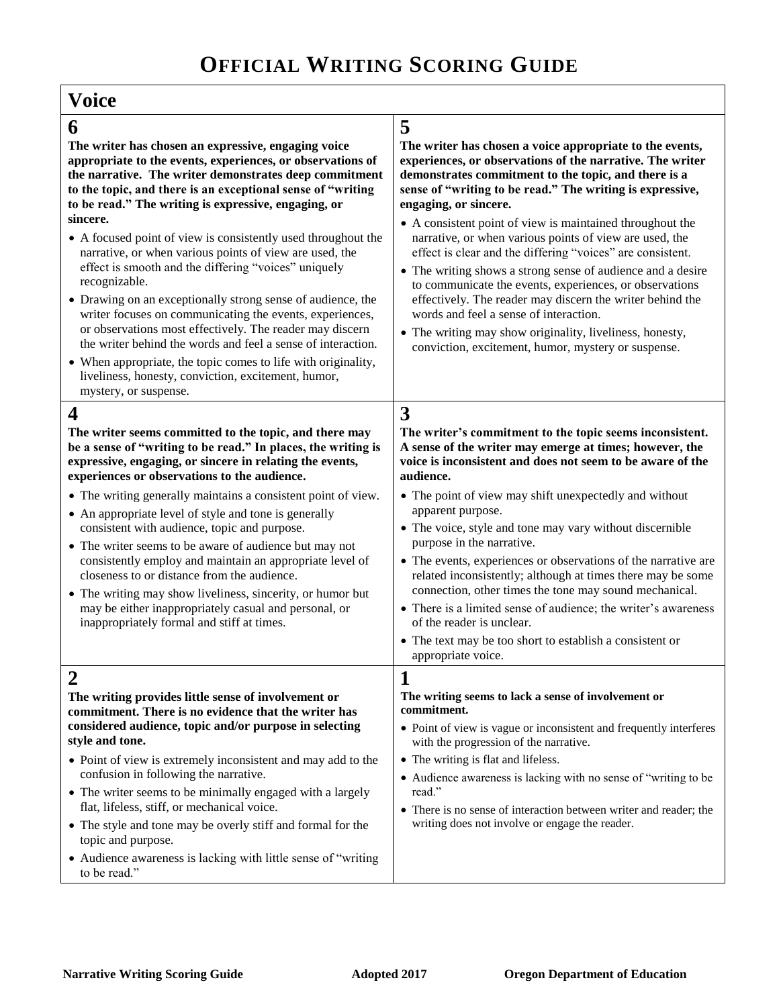| Voice                                                                                                                                                                                                                                                                                                                                                                                                                                                                                                                                                                                                                                                                                                                                                                                                                                                                                                                            |                                                                                                                                                                                                                                                                                                                                                                                                                                                                                                                                                                                                                                                                                                                                                                                                                    |  |
|----------------------------------------------------------------------------------------------------------------------------------------------------------------------------------------------------------------------------------------------------------------------------------------------------------------------------------------------------------------------------------------------------------------------------------------------------------------------------------------------------------------------------------------------------------------------------------------------------------------------------------------------------------------------------------------------------------------------------------------------------------------------------------------------------------------------------------------------------------------------------------------------------------------------------------|--------------------------------------------------------------------------------------------------------------------------------------------------------------------------------------------------------------------------------------------------------------------------------------------------------------------------------------------------------------------------------------------------------------------------------------------------------------------------------------------------------------------------------------------------------------------------------------------------------------------------------------------------------------------------------------------------------------------------------------------------------------------------------------------------------------------|--|
| 6<br>The writer has chosen an expressive, engaging voice<br>appropriate to the events, experiences, or observations of<br>the narrative. The writer demonstrates deep commitment<br>to the topic, and there is an exceptional sense of "writing<br>to be read." The writing is expressive, engaging, or<br>sincere.<br>• A focused point of view is consistently used throughout the<br>narrative, or when various points of view are used, the<br>effect is smooth and the differing "voices" uniquely<br>recognizable.<br>• Drawing on an exceptionally strong sense of audience, the<br>writer focuses on communicating the events, experiences,<br>or observations most effectively. The reader may discern<br>the writer behind the words and feel a sense of interaction.<br>• When appropriate, the topic comes to life with originality,<br>liveliness, honesty, conviction, excitement, humor,<br>mystery, or suspense. | 5<br>The writer has chosen a voice appropriate to the events,<br>experiences, or observations of the narrative. The writer<br>demonstrates commitment to the topic, and there is a<br>sense of "writing to be read." The writing is expressive,<br>engaging, or sincere.<br>• A consistent point of view is maintained throughout the<br>narrative, or when various points of view are used, the<br>effect is clear and the differing "voices" are consistent.<br>• The writing shows a strong sense of audience and a desire<br>to communicate the events, experiences, or observations<br>effectively. The reader may discern the writer behind the<br>words and feel a sense of interaction.<br>• The writing may show originality, liveliness, honesty,<br>conviction, excitement, humor, mystery or suspense. |  |
| $\overline{\mathbf{4}}$<br>The writer seems committed to the topic, and there may<br>be a sense of "writing to be read." In places, the writing is<br>expressive, engaging, or sincere in relating the events,<br>experiences or observations to the audience.<br>• The writing generally maintains a consistent point of view.<br>• An appropriate level of style and tone is generally<br>consistent with audience, topic and purpose.<br>• The writer seems to be aware of audience but may not<br>consistently employ and maintain an appropriate level of<br>closeness to or distance from the audience.<br>• The writing may show liveliness, sincerity, or humor but<br>may be either inappropriately casual and personal, or<br>inappropriately formal and stiff at times.                                                                                                                                               | 3<br>The writer's commitment to the topic seems inconsistent.<br>A sense of the writer may emerge at times; however, the<br>voice is inconsistent and does not seem to be aware of the<br>audience.<br>• The point of view may shift unexpectedly and without<br>apparent purpose.<br>• The voice, style and tone may vary without discernible<br>purpose in the narrative.<br>• The events, experiences or observations of the narrative are<br>related inconsistently; although at times there may be some<br>connection, other times the tone may sound mechanical.<br>• There is a limited sense of audience; the writer's awareness<br>of the reader is unclear.<br>• The text may be too short to establish a consistent or<br>appropriate voice.                                                            |  |
| 2<br>The writing provides little sense of involvement or<br>commitment. There is no evidence that the writer has<br>considered audience, topic and/or purpose in selecting<br>style and tone.<br>• Point of view is extremely inconsistent and may add to the<br>confusion in following the narrative.<br>• The writer seems to be minimally engaged with a largely<br>flat, lifeless, stiff, or mechanical voice.<br>• The style and tone may be overly stiff and formal for the<br>topic and purpose.<br>• Audience awareness is lacking with little sense of "writing<br>to be read."                                                                                                                                                                                                                                                                                                                                         | 1<br>The writing seems to lack a sense of involvement or<br>commitment.<br>• Point of view is vague or inconsistent and frequently interferes<br>with the progression of the narrative.<br>• The writing is flat and lifeless.<br>• Audience awareness is lacking with no sense of "writing to be<br>read."<br>• There is no sense of interaction between writer and reader; the<br>writing does not involve or engage the reader.                                                                                                                                                                                                                                                                                                                                                                                 |  |

Г

٦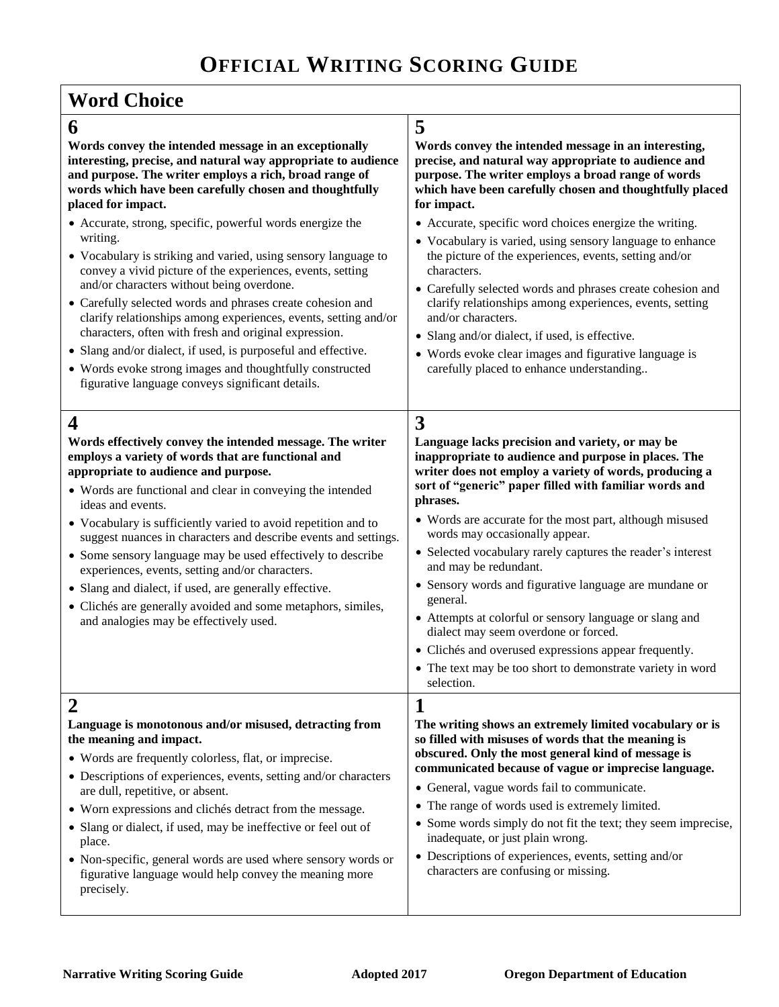## **Word Choice**

|        | ۰,<br>v<br>۰.<br>e |
|--------|--------------------|
|        | Ĩ.                 |
| ć<br>× | š<br>۰,<br>٧       |

**6 5 Words convey the intended message in an exceptionally interesting, precise, and natural way appropriate to audience and purpose. The writer employs a rich, broad range of words which have been carefully chosen and thoughtfully placed for impact.**  Accurate, strong, specific, powerful words energize the writing. Vocabulary is striking and varied, using sensory language to convey a vivid picture of the experiences, events, setting and/or characters without being overdone. Carefully selected words and phrases create cohesion and clarify relationships among experiences, events, setting and/or characters, often with fresh and original expression. Slang and/or dialect, if used, is purposeful and effective. Words evoke strong images and thoughtfully constructed figurative language conveys significant details. **Words convey the intended message in an interesting, precise, and natural way appropriate to audience and purpose. The writer employs a broad range of words which have been carefully chosen and thoughtfully placed for impact.**  Accurate, specific word choices energize the writing. Vocabulary is varied, using sensory language to enhance the picture of the experiences, events, setting and/or characters. Carefully selected words and phrases create cohesion and clarify relationships among experiences, events, setting and/or characters. • Slang and/or dialect, if used, is effective. Words evoke clear images and figurative language is carefully placed to enhance understanding.. **4 3 Words effectively convey the intended message. The writer employs a variety of words that are functional and appropriate to audience and purpose.**  Words are functional and clear in conveying the intended ideas and events. Vocabulary is sufficiently varied to avoid repetition and to suggest nuances in characters and describe events and settings. Some sensory language may be used effectively to describe experiences, events, setting and/or characters. Slang and dialect, if used, are generally effective. Clichés are generally avoided and some metaphors, similes, and analogies may be effectively used. **Language lacks precision and variety, or may be inappropriate to audience and purpose in places. The writer does not employ a variety of words, producing a sort of "generic" paper filled with familiar words and phrases.**  Words are accurate for the most part, although misused words may occasionally appear. Selected vocabulary rarely captures the reader's interest and may be redundant. Sensory words and figurative language are mundane or general. Attempts at colorful or sensory language or slang and dialect may seem overdone or forced. Clichés and overused expressions appear frequently.

 The text may be too short to demonstrate variety in word selection.

| Language is monotonous and/or misused, detracting from           | The writing shows an extremely limited vocabulary or is                                       |
|------------------------------------------------------------------|-----------------------------------------------------------------------------------------------|
| the meaning and impact.                                          | so filled with misuses of words that the meaning is                                           |
| • Words are frequently colorless, flat, or imprecise.            | obscured. Only the most general kind of message is                                            |
| • Descriptions of experiences, events, setting and/or characters | communicated because of vague or imprecise language.                                          |
| are dull, repetitive, or absent.                                 | • General, vague words fail to communicate.                                                   |
| • Worn expressions and clichés detract from the message.         | • The range of words used is extremely limited.                                               |
| • Slang or dialect, if used, may be ineffective or feel out of   | • Some words simply do not fit the text; they seem imprecise,                                 |
| place.                                                           | inadequate, or just plain wrong.                                                              |
| • Non-specific, general words are used where sensory words or    | • Descriptions of experiences, events, setting and/or<br>characters are confusing or missing. |
| figurative language would help convey the meaning more           |                                                                                               |
| precisely.                                                       |                                                                                               |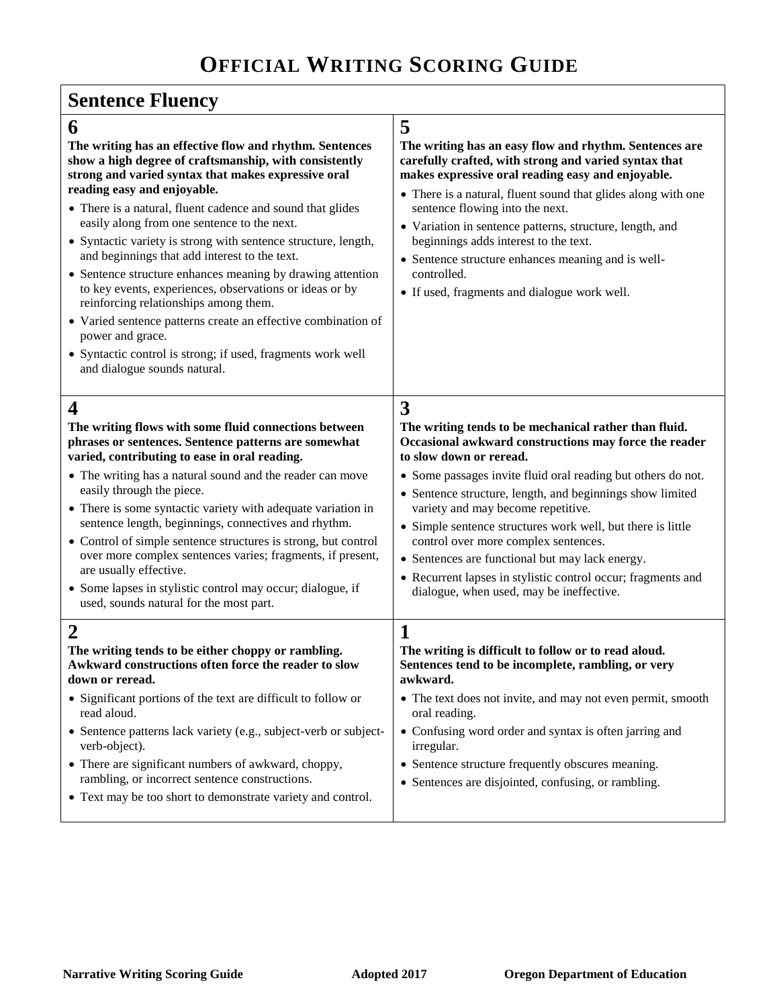# **Sentence Fluency**

| 5                                                                                                                                                                                                                                                                                                                                                                                                                                                                                                  |
|----------------------------------------------------------------------------------------------------------------------------------------------------------------------------------------------------------------------------------------------------------------------------------------------------------------------------------------------------------------------------------------------------------------------------------------------------------------------------------------------------|
| The writing has an easy flow and rhythm. Sentences are<br>carefully crafted, with strong and varied syntax that<br>makes expressive oral reading easy and enjoyable.<br>• There is a natural, fluent sound that glides along with one<br>sentence flowing into the next.<br>• Variation in sentence patterns, structure, length, and<br>beginnings adds interest to the text.<br>• Sentence structure enhances meaning and is well-<br>controlled.<br>• If used, fragments and dialogue work well. |
| 3                                                                                                                                                                                                                                                                                                                                                                                                                                                                                                  |
| The writing tends to be mechanical rather than fluid.<br>Occasional awkward constructions may force the reader<br>to slow down or reread.                                                                                                                                                                                                                                                                                                                                                          |
| • Some passages invite fluid oral reading but others do not.<br>• Sentence structure, length, and beginnings show limited<br>variety and may become repetitive.<br>• Simple sentence structures work well, but there is little<br>control over more complex sentences.<br>• Sentences are functional but may lack energy.<br>• Recurrent lapses in stylistic control occur; fragments and<br>dialogue, when used, may be ineffective.                                                              |
| $\mathbf 1$<br>The writing is difficult to follow or to read aloud.<br>Sentences tend to be incomplete, rambling, or very<br>awkward.<br>• The text does not invite, and may not even permit, smooth<br>oral reading.<br>• Confusing word order and syntax is often jarring and<br>irregular.<br>• Sentence structure frequently obscures meaning.<br>• Sentences are disjointed, confusing, or rambling.                                                                                          |
|                                                                                                                                                                                                                                                                                                                                                                                                                                                                                                    |